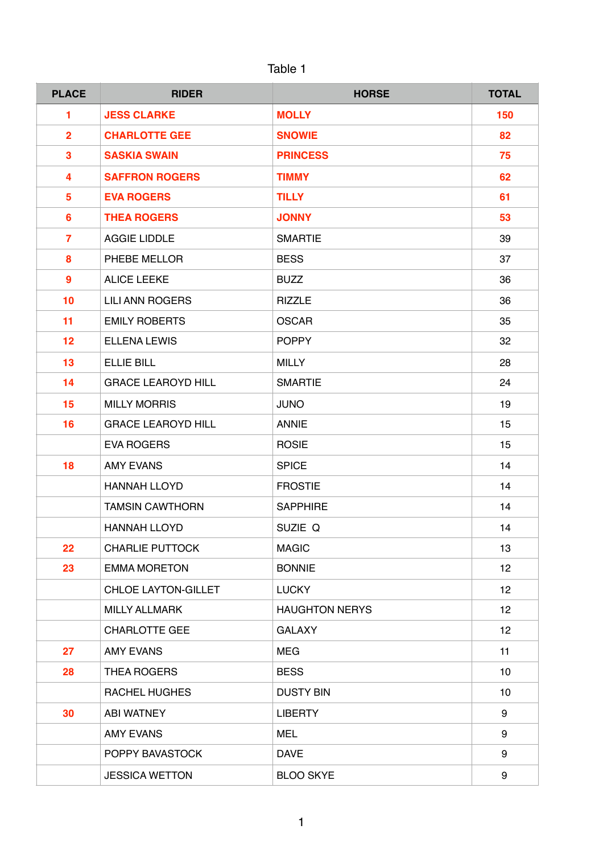| <b>JDI</b> F |  |
|--------------|--|
|              |  |

| <b>PLACE</b>     | <b>RIDER</b>              | <b>HORSE</b>          | <b>TOTAL</b> |
|------------------|---------------------------|-----------------------|--------------|
| 1                | <b>JESS CLARKE</b>        | <b>MOLLY</b>          | 150          |
| $\overline{2}$   | <b>CHARLOTTE GEE</b>      | <b>SNOWIE</b>         | 82           |
| 3                | <b>SASKIA SWAIN</b>       | <b>PRINCESS</b>       | 75           |
| 4                | <b>SAFFRON ROGERS</b>     | <b>TIMMY</b>          | 62           |
| 5                | <b>EVA ROGERS</b>         | <b>TILLY</b>          | 61           |
| $6\phantom{a}$   | <b>THEA ROGERS</b>        | <b>JONNY</b>          | 53           |
| $\overline{7}$   | <b>AGGIE LIDDLE</b>       | <b>SMARTIE</b>        | 39           |
| 8                | PHEBE MELLOR              | <b>BESS</b>           | 37           |
| $\boldsymbol{9}$ | <b>ALICE LEEKE</b>        | <b>BUZZ</b>           | 36           |
| 10               | <b>LILI ANN ROGERS</b>    | <b>RIZZLE</b>         | 36           |
| 11               | <b>EMILY ROBERTS</b>      | <b>OSCAR</b>          | 35           |
| 12               | <b>ELLENA LEWIS</b>       | <b>POPPY</b>          | 32           |
| 13               | <b>ELLIE BILL</b>         | <b>MILLY</b>          | 28           |
| 14               | <b>GRACE LEAROYD HILL</b> | <b>SMARTIE</b>        | 24           |
| 15               | <b>MILLY MORRIS</b>       | <b>JUNO</b>           | 19           |
| 16               | <b>GRACE LEAROYD HILL</b> | <b>ANNIE</b>          | 15           |
|                  | <b>EVA ROGERS</b>         | <b>ROSIE</b>          | 15           |
| 18               | <b>AMY EVANS</b>          | <b>SPICE</b>          | 14           |
|                  | <b>HANNAH LLOYD</b>       | <b>FROSTIE</b>        | 14           |
|                  | <b>TAMSIN CAWTHORN</b>    | <b>SAPPHIRE</b>       | 14           |
|                  | <b>HANNAH LLOYD</b>       | SUZIE Q               | 14           |
| 22               | <b>CHARLIE PUTTOCK</b>    | <b>MAGIC</b>          | 13           |
| 23               | <b>EMMA MORETON</b>       | <b>BONNIE</b>         | 12           |
|                  | CHLOE LAYTON-GILLET       | <b>LUCKY</b>          | 12           |
|                  | <b>MILLY ALLMARK</b>      | <b>HAUGHTON NERYS</b> | 12           |
|                  | <b>CHARLOTTE GEE</b>      | <b>GALAXY</b>         | 12           |
| 27               | <b>AMY EVANS</b>          | <b>MEG</b>            | 11           |
| 28               | <b>THEA ROGERS</b>        | <b>BESS</b>           | 10           |
|                  | <b>RACHEL HUGHES</b>      | <b>DUSTY BIN</b>      | 10           |
| 30               | <b>ABI WATNEY</b>         | <b>LIBERTY</b>        | 9            |
|                  | <b>AMY EVANS</b>          | <b>MEL</b>            | 9            |
|                  | POPPY BAVASTOCK           | <b>DAVE</b>           | 9            |
|                  | <b>JESSICA WETTON</b>     | <b>BLOO SKYE</b>      | 9            |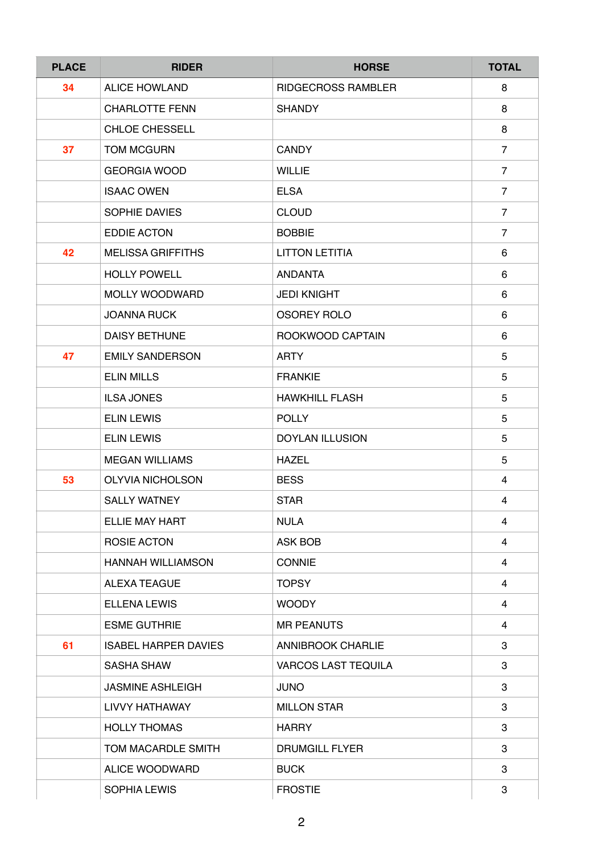| <b>PLACE</b> | <b>RIDER</b>                | <b>HORSE</b>               | <b>TOTAL</b>   |
|--------------|-----------------------------|----------------------------|----------------|
| 34           | <b>ALICE HOWLAND</b>        | <b>RIDGECROSS RAMBLER</b>  | 8              |
|              | <b>CHARLOTTE FENN</b>       | <b>SHANDY</b>              | 8              |
|              | <b>CHLOE CHESSELL</b>       |                            | 8              |
| 37           | <b>TOM MCGURN</b>           | <b>CANDY</b>               | $\overline{7}$ |
|              | <b>GEORGIA WOOD</b>         | <b>WILLIE</b>              | $\overline{7}$ |
|              | <b>ISAAC OWEN</b>           | <b>ELSA</b>                | $\overline{7}$ |
|              | SOPHIE DAVIES               | <b>CLOUD</b>               | $\overline{7}$ |
|              | <b>EDDIE ACTON</b>          | <b>BOBBIE</b>              | $\overline{7}$ |
| 42           | <b>MELISSA GRIFFITHS</b>    | <b>LITTON LETITIA</b>      | 6              |
|              | <b>HOLLY POWELL</b>         | <b>ANDANTA</b>             | 6              |
|              | MOLLY WOODWARD              | <b>JEDI KNIGHT</b>         | 6              |
|              | <b>JOANNA RUCK</b>          | <b>OSOREY ROLO</b>         | 6              |
|              | <b>DAISY BETHUNE</b>        | ROOKWOOD CAPTAIN           | 6              |
| 47           | <b>EMILY SANDERSON</b>      | <b>ARTY</b>                | 5              |
|              | <b>ELIN MILLS</b>           | <b>FRANKIE</b>             | 5              |
|              | <b>ILSA JONES</b>           | <b>HAWKHILL FLASH</b>      | 5              |
|              | <b>ELIN LEWIS</b>           | <b>POLLY</b>               | 5              |
|              | <b>ELIN LEWIS</b>           | <b>DOYLAN ILLUSION</b>     | 5              |
|              | <b>MEGAN WILLIAMS</b>       | <b>HAZEL</b>               | 5              |
| 53           | <b>OLYVIA NICHOLSON</b>     | <b>BESS</b>                | $\overline{4}$ |
|              | <b>SALLY WATNEY</b>         | <b>STAR</b>                | 4              |
|              | <b>ELLIE MAY HART</b>       | <b>NULA</b>                | 4              |
|              | ROSIE ACTON                 | ASK BOB                    | 4              |
|              | <b>HANNAH WILLIAMSON</b>    | <b>CONNIE</b>              | 4              |
|              | <b>ALEXA TEAGUE</b>         | <b>TOPSY</b>               | $\overline{4}$ |
|              | <b>ELLENA LEWIS</b>         | <b>WOODY</b>               | 4              |
|              | <b>ESME GUTHRIE</b>         | <b>MR PEANUTS</b>          | 4              |
| 61           | <b>ISABEL HARPER DAVIES</b> | <b>ANNIBROOK CHARLIE</b>   | 3              |
|              | <b>SASHA SHAW</b>           | <b>VARCOS LAST TEQUILA</b> | 3              |
|              | <b>JASMINE ASHLEIGH</b>     | <b>JUNO</b>                | 3              |
|              | LIVVY HATHAWAY              | <b>MILLON STAR</b>         | 3              |
|              | <b>HOLLY THOMAS</b>         | <b>HARRY</b>               | 3              |
|              | TOM MACARDLE SMITH          | <b>DRUMGILL FLYER</b>      | 3              |
|              | ALICE WOODWARD              | <b>BUCK</b>                | 3              |
|              | <b>SOPHIA LEWIS</b>         | <b>FROSTIE</b>             | 3              |